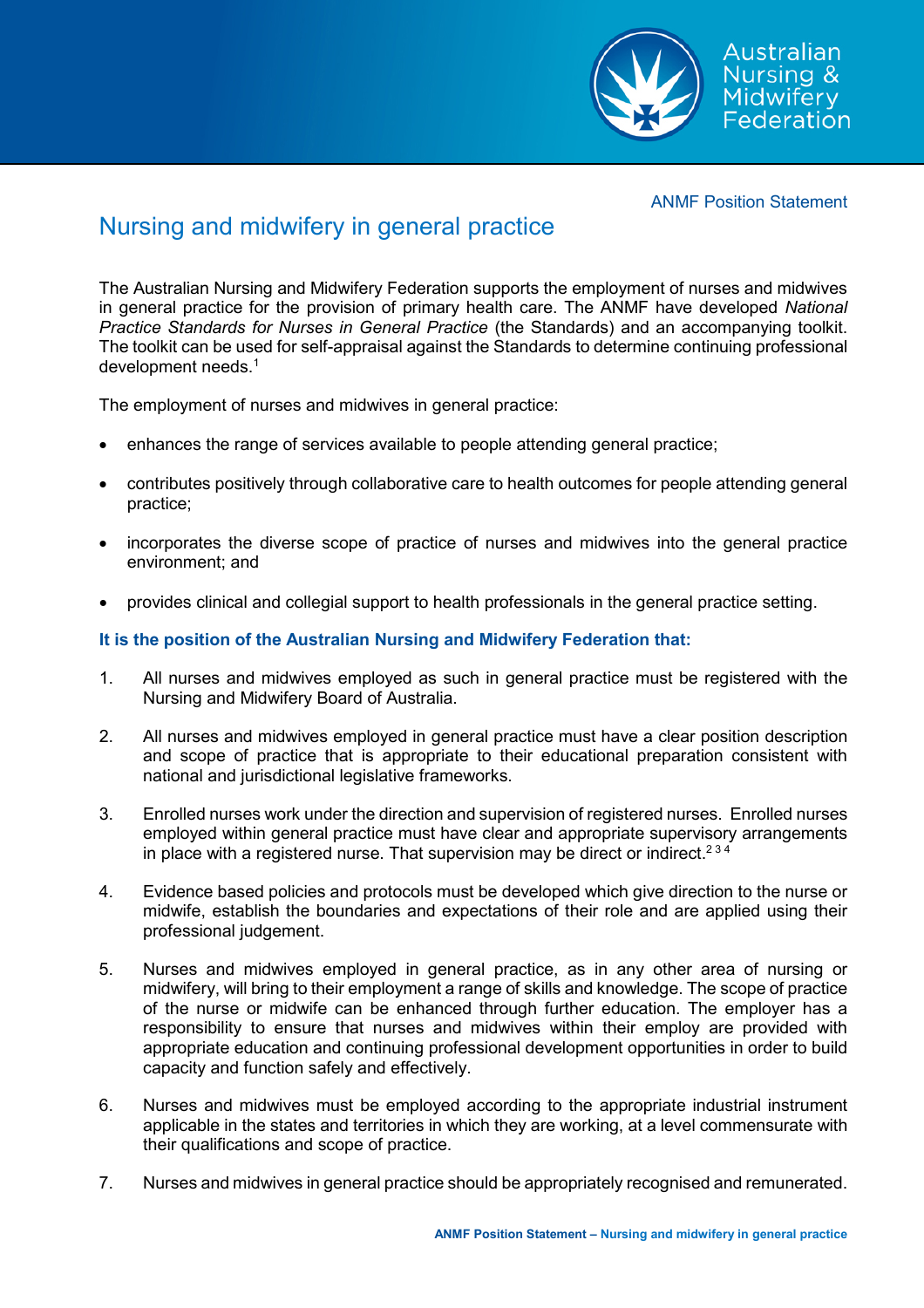

ANMF Position Statement

## Nursing and midwifery in general practice

The Australian Nursing and Midwifery Federation supports the employment of nurses and midwives in general practice for the provision of primary health care. The ANMF have developed *National Practice Standards for Nurses in General Practice* (the Standards) and an accompanying toolkit. The toolkit can be used for self-appraisal against the Standards to determine continuing professional development needs.<sup>1</sup>

The employment of nurses and midwives in general practice:

- enhances the range of services available to people attending general practice;
- contributes positively through collaborative care to health outcomes for people attending general practice;
- incorporates the diverse scope of practice of nurses and midwives into the general practice environment; and
- provides clinical and collegial support to health professionals in the general practice setting.

## **It is the position of the Australian Nursing and Midwifery Federation that:**

- 1. All nurses and midwives employed as such in general practice must be registered with the Nursing and Midwifery Board of Australia.
- 2. All nurses and midwives employed in general practice must have a clear position description and scope of practice that is appropriate to their educational preparation consistent with national and jurisdictional legislative frameworks.
- 3. Enrolled nurses work under the direction and supervision of registered nurses. Enrolled nurses employed within general practice must have clear and appropriate supervisory arrangements in place with a registered nurse. That supervision may be direct or indirect.<sup>234</sup>
- 4. Evidence based policies and protocols must be developed which give direction to the nurse or midwife, establish the boundaries and expectations of their role and are applied using their professional judgement.
- 5. Nurses and midwives employed in general practice, as in any other area of nursing or midwifery, will bring to their employment a range of skills and knowledge. The scope of practice of the nurse or midwife can be enhanced through further education. The employer has a responsibility to ensure that nurses and midwives within their employ are provided with appropriate education and continuing professional development opportunities in order to build capacity and function safely and effectively.
- 6. Nurses and midwives must be employed according to the appropriate industrial instrument applicable in the states and territories in which they are working, at a level commensurate with their qualifications and scope of practice.
- 7. Nurses and midwives in general practice should be appropriately recognised and remunerated.